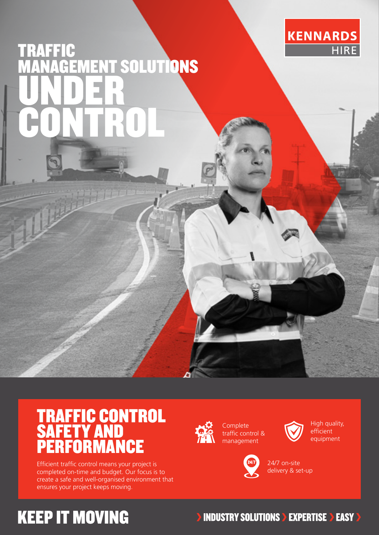

# **TRAFFIC EMENT SOLUTIONS** UNDER CONTROL

### TRAFFIC CONTROL SAFETY AND **PERFORMANCE**

Efficient traffic control means your project is completed on-time and budget. Our focus is to create a safe and well-organised environment that ensures your project keeps moving.



Complete traffic control & management



High quality, efficient equipment



24/7 on-site delivery & set-up

## **KEEP IT MOVING**

#### **INDUSTRY SOLUTIONS > EXPERTISE > EASY >**